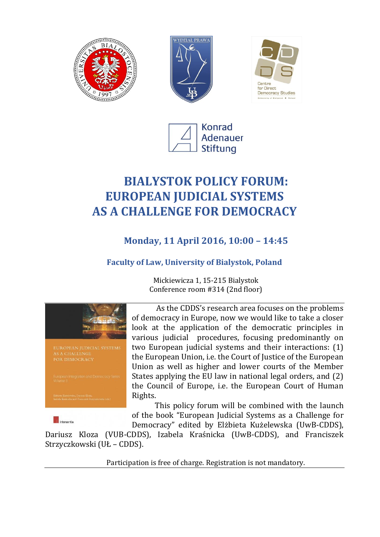







# **BIALYSTOK POLICY FORUM: EUROPEAN JUDICIAL SYSTEMS AS A CHALLENGE FOR DEMOCRACY**

## **Monday, 11 April 2016, 10:00 – 14:45**

### **Faculty of Law, University of Bialystok, Poland**

Mickiewicza 1, 15-215 Bialystok Conference room #314 (2nd floor)



As the CDDS's research area focuses on the problems of democracy in Europe, now we would like to take a closer look at the application of the democratic principles in various judicial procedures, focusing predominantly on two European judicial systems and their interactions: (1) the European Union, i.e. the Court of Justice of the European Union as well as higher and lower courts of the Member States applying the EU law in national legal orders, and (2) the Council of Europe, i.e. the European Court of Human Rights.

This policy forum will be combined with the launch of the book "European Judicial Systems as a Challenge for Democracy" edited by Elżbieta Kużelewska (UwB-CDDS),

Dariusz Kloza (VUB-CDDS), Izabela Kraśnicka (UwB-CDDS), and Franciszek Strzyczkowski (UŁ – CDDS).

Participation is free of charge. Registration is not mandatory.